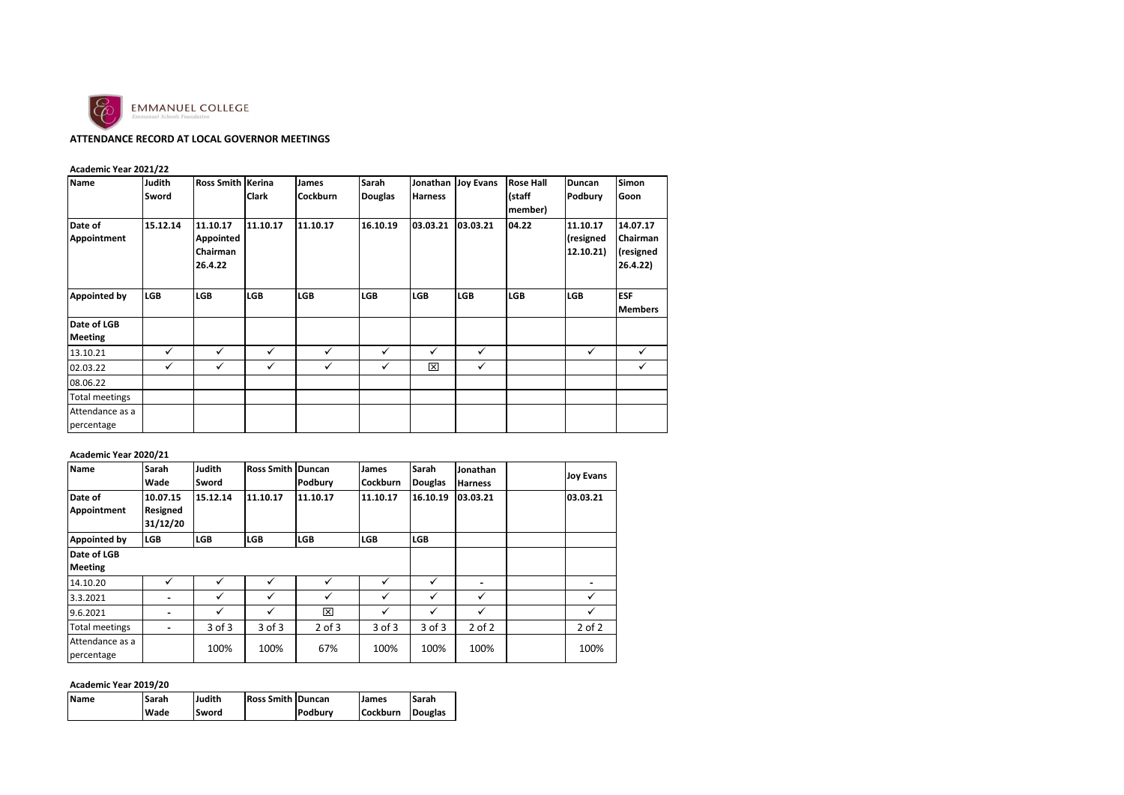

# **ATTENDANCE RECORD AT LOCAL GOVERNOR MEETINGS**

|  | Academic Year 2021/22 |  |
|--|-----------------------|--|
|--|-----------------------|--|

| <b>Name</b>                   | Judith<br>Sword | Ross Smith Kerina                            | <b>Clark</b> | <b>James</b><br><b>Cockburn</b> | Sarah<br><b>Douglas</b> | Jonathan<br><b>Harness</b> | <b>Joy Evans</b> | <b>Rose Hall</b><br>(staff<br>member) | Duncan<br>Podbury                  | <b>Simon</b><br>Goon                          |
|-------------------------------|-----------------|----------------------------------------------|--------------|---------------------------------|-------------------------|----------------------------|------------------|---------------------------------------|------------------------------------|-----------------------------------------------|
| Date of<br>Appointment        | 15.12.14        | 11.10.17<br>Appointed<br>Chairman<br>26.4.22 | 11.10.17     | 11.10.17                        | 16.10.19                | 03.03.21                   | 03.03.21         | 04.22                                 | 11.10.17<br>(resigned<br>12.10.21) | 14.07.17<br>Chairman<br>(resigned<br>26.4.22) |
| Appointed by                  | <b>LGB</b>      | <b>LGB</b>                                   | <b>LGB</b>   | <b>LGB</b>                      | <b>LGB</b>              | LGB                        | <b>LGB</b>       | <b>LGB</b>                            | <b>LGB</b>                         | <b>ESF</b><br><b>Members</b>                  |
| Date of LGB<br><b>Meeting</b> |                 |                                              |              |                                 |                         |                            |                  |                                       |                                    |                                               |
| 13.10.21                      | ✓               | $\checkmark$                                 | $\checkmark$ | ✓                               | $\checkmark$            | ✓                          | ✓                |                                       | ✓                                  | ✓                                             |
| 02.03.22                      | ✓               | ✓                                            | ✓            | ✓                               | ✓                       | ⊠                          | ✓                |                                       |                                    | ✓                                             |
| 08.06.22                      |                 |                                              |              |                                 |                         |                            |                  |                                       |                                    |                                               |
| <b>Total meetings</b>         |                 |                                              |              |                                 |                         |                            |                  |                                       |                                    |                                               |
| Attendance as a<br>percentage |                 |                                              |              |                                 |                         |                            |                  |                                       |                                    |                                               |

### **Academic Year 2020/21**

| <b>Name</b>                   | Sarah<br>Wade                           | Judith<br>Sword | <b>Ross Smith Duncan</b> | Podbury    | James<br><b>Cockburn</b> | <b>Sarah</b><br>Douglas | Jonathan<br><b>Harness</b> | <b>Joy Evans</b> |
|-------------------------------|-----------------------------------------|-----------------|--------------------------|------------|--------------------------|-------------------------|----------------------------|------------------|
| Date of<br>Appointment        | 10.07.15<br><b>Resigned</b><br>31/12/20 | 15.12.14        | 11.10.17                 | 11.10.17   | 11.10.17                 | 16.10.19                | 03.03.21                   | 03.03.21         |
| <b>Appointed by</b>           | <b>LGB</b>                              | <b>LGB</b>      | <b>LGB</b>               | <b>LGB</b> | <b>LGB</b>               | <b>LGB</b>              |                            |                  |
| Date of LGB                   |                                         |                 |                          |            |                          |                         |                            |                  |
| <b>Meeting</b>                |                                         |                 |                          |            |                          |                         |                            |                  |
| 14.10.20                      | ✓                                       | ✓               | ✓                        | ✓          | ✓                        | ✓                       | -                          |                  |
| 3.3.2021                      | -                                       | ✓               | $\checkmark$             | ✓          | ✓                        | ✓                       | $\checkmark$               | ✓                |
| 9.6.2021                      | -                                       | $\checkmark$    | $\checkmark$             | ⊠          | $\checkmark$             | ✓                       | $\checkmark$               | ✓                |
| <b>Total meetings</b>         | $\overline{\phantom{a}}$                | $3$ of $3$      | $3$ of $3$               | $2$ of $3$ | $3$ of $3$               | $3$ of $3$              | $2$ of $2$                 | $2$ of $2$       |
| Attendance as a<br>percentage |                                         | 100%            | 100%                     | 67%        | 100%                     | 100%                    | 100%                       | 100%             |

## **Academic Year 2019/20**

| <b>Name</b> | Sarah | Judith | <b>Ross Smith Duncan</b> |         | James           | Sarah          |
|-------------|-------|--------|--------------------------|---------|-----------------|----------------|
|             | Wade  | Sword  |                          | Podbury | <b>Cockburn</b> | <b>Douglas</b> |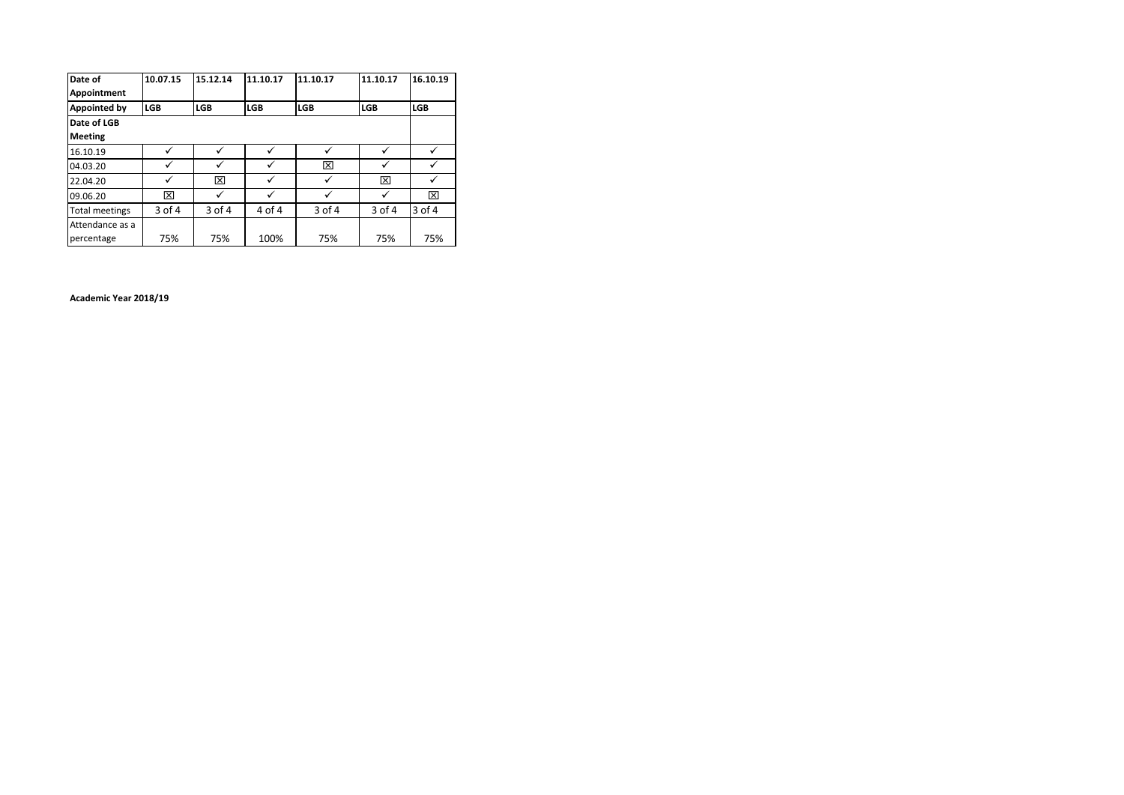| Date of               | 10.07.15   | 15.12.14     | 11.10.17   | 11.10.17     | 11.10.17     | 16.10.19   |
|-----------------------|------------|--------------|------------|--------------|--------------|------------|
| Appointment           |            |              |            |              |              |            |
| <b>Appointed by</b>   | <b>LGB</b> | <b>LGB</b>   | <b>LGB</b> | <b>LGB</b>   | <b>LGB</b>   | <b>LGB</b> |
| Date of LGB           |            |              |            |              |              |            |
| <b>Meeting</b>        |            |              |            |              |              |            |
| 16.10.19              | ✓          | ✓            | ✓          | ✓            | ✓            | ✓          |
| 04.03.20              | ✓          | $\checkmark$ |            | ⊠            | $\checkmark$ |            |
| 22.04.20              |            | ⊠            |            | $\checkmark$ | ⊠            |            |
| 09.06.20              | ⊠          | ✓            |            | ✓            | ✓            | ⊠          |
| <b>Total meetings</b> | 3 of 4     | 3 of 4       | 4 of 4     | 3 of 4       | 3 of 4       | $3$ of $4$ |
| Attendance as a       |            |              |            |              |              |            |
| percentage            | 75%        | 75%          | 100%       | 75%          | 75%          | 75%        |

**Academic Year 2018/19**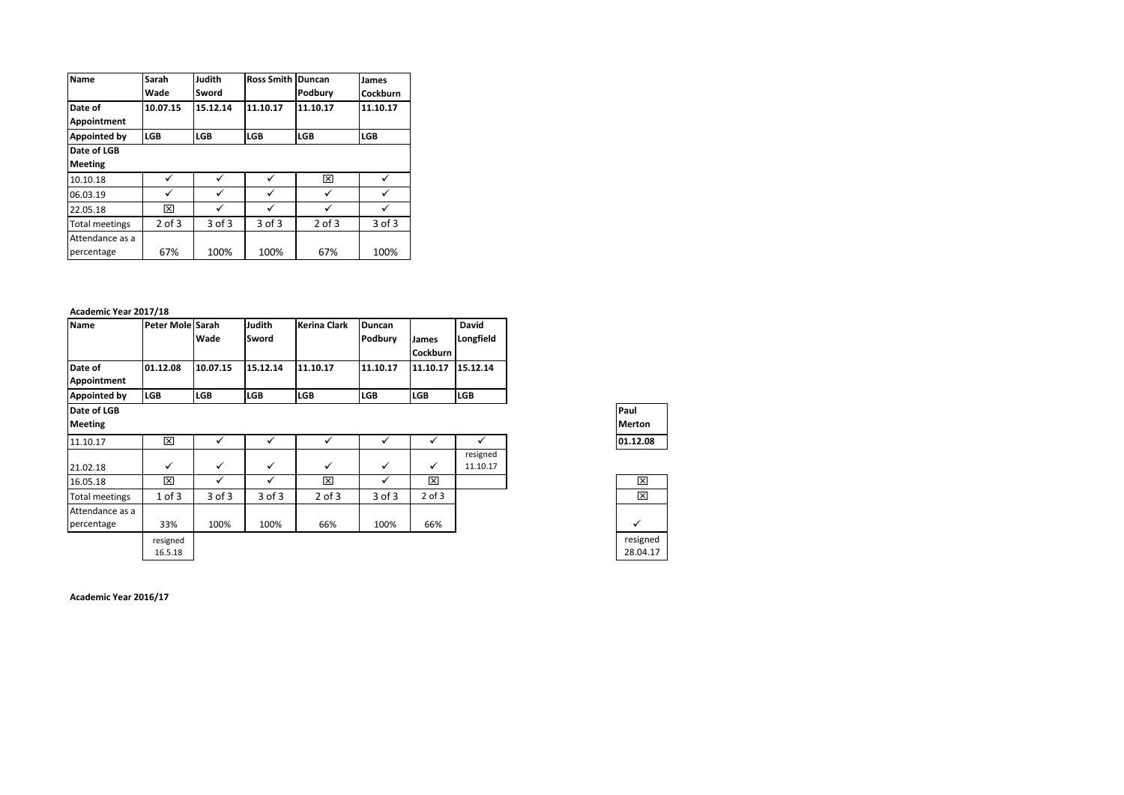| Name                          | Sarah<br>Wade | Judith<br>Sword | <b>Ross Smith</b> | Duncan<br>Podbury | James<br>Cockburn |
|-------------------------------|---------------|-----------------|-------------------|-------------------|-------------------|
| Date of<br>Appointment        | 10.07.15      | 15.12.14        | 11.10.17          | 11.10.17          | 11.10.17          |
| Appointed by                  | <b>LGB</b>    | <b>LGB</b>      | <b>LGB</b>        | <b>LGB</b>        | <b>LGB</b>        |
| Date of LGB                   |               |                 |                   |                   |                   |
| <b>Meeting</b>                |               |                 |                   |                   |                   |
| 10.10.18                      | ✓             |                 | ✓                 | ⊠                 |                   |
| 06.03.19                      | ✓             |                 | ✓                 | ✓                 |                   |
| 22.05.18                      | ⊠             |                 | ✓                 | ✓                 |                   |
| <b>Total meetings</b>         | $2$ of $3$    | $3$ of $3$      | $3$ of $3$        | $2$ of $3$        | $3$ of $3$        |
| Attendance as a<br>percentage | 67%           | 100%            | 100%              | 67%               | 100%              |

#### **Academic Year 2017/18**

| <b>Name</b>                   | Peter Mole Sarah    | Wade         | Judith<br>Sword | <b>Kerina Clark</b> | Duncan<br>Podbury | <b>James</b><br><b>Cockburn</b> | David<br>Longfield   |
|-------------------------------|---------------------|--------------|-----------------|---------------------|-------------------|---------------------------------|----------------------|
| Date of<br>Appointment        | 01.12.08            | 10.07.15     | 15.12.14        | 11.10.17            | 11.10.17          | 11.10.17                        | 15.12.14             |
| Appointed by                  | <b>LGB</b>          | <b>LGB</b>   | <b>LGB</b>      | <b>LGB</b>          | <b>LGB</b>        | <b>LGB</b>                      | <b>LGB</b>           |
| Date of LGB<br><b>Meeting</b> |                     |              |                 |                     |                   |                                 |                      |
| 11.10.17                      | ×                   | ✓            | ✓               | ✓                   | ✓                 | ✓                               | ✓                    |
| 21.02.18                      | ✓                   | $\checkmark$ | ✓               | $\checkmark$        | $\checkmark$      | ✓                               | resigned<br>11.10.17 |
| 16.05.18                      | ⊠                   | ✓            | ✓               | ⊠                   | ✓                 | ⊠                               |                      |
| <b>Total meetings</b>         | $1$ of $3$          | $3$ of $3$   | 3 of 3          | $2$ of $3$          | 3 of 3            | $2$ of $3$                      |                      |
| Attendance as a<br>percentage | 33%                 | 100%         | 100%            | 66%                 | 100%              | 66%                             |                      |
|                               | resigned<br>16.5.18 |              |                 |                     |                   |                                 |                      |

**Paul Merton**

| ᢂ        |
|----------|
| प्रि     |
|          |
|          |
| resigned |
| 28.04.17 |

**Academic Year 2016/17**